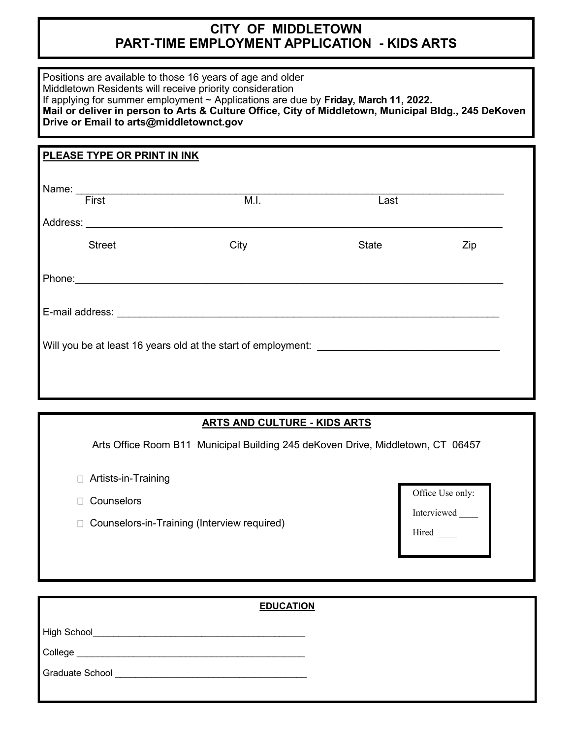# **CITY OF MIDDLETOWN PART-TIME EMPLOYMENT APPLICATION - KIDS ARTS**

| Positions are available to those 16 years of age and older<br>Middletown Residents will receive priority consideration<br>Drive or Email to arts@middletownct.gov | If applying for summer employment $\sim$ Applications are due by Friday, March 11, 2022.<br>Mail or deliver in person to Arts & Culture Office, City of Middletown, Municipal Bldg., 245 DeKoven |              |     |
|-------------------------------------------------------------------------------------------------------------------------------------------------------------------|--------------------------------------------------------------------------------------------------------------------------------------------------------------------------------------------------|--------------|-----|
| PLEASE TYPE OR PRINT IN INK                                                                                                                                       |                                                                                                                                                                                                  |              |     |
| Name: First                                                                                                                                                       | M.I.                                                                                                                                                                                             | Last         |     |
|                                                                                                                                                                   |                                                                                                                                                                                                  |              |     |
| <b>Street</b>                                                                                                                                                     | City                                                                                                                                                                                             | <b>State</b> | Zip |
|                                                                                                                                                                   |                                                                                                                                                                                                  |              |     |
|                                                                                                                                                                   |                                                                                                                                                                                                  |              |     |
|                                                                                                                                                                   | Will you be at least 16 years old at the start of employment:                                                                                                                                    |              |     |

### **ARTS AND CULTURE - KIDS ARTS**

Arts Office Room B11 Municipal Building 245 deKoven Drive, Middletown, CT 06457

- Artists-in-Training
- □ Counselors
- □ Counselors-in-Training (Interview required)

| Office Use only: |  |
|------------------|--|
| Interviewed      |  |
| Hired            |  |
|                  |  |

# **EDUCATION** High School\_\_\_\_\_\_\_\_\_\_\_\_\_\_\_\_\_\_\_\_\_\_\_\_\_\_\_\_\_\_\_\_\_\_\_\_\_\_\_\_\_ College \_\_\_\_\_\_\_\_\_\_\_\_\_\_\_\_\_\_\_\_\_\_\_\_\_\_\_\_\_\_\_\_\_\_\_\_\_\_\_\_\_\_\_\_ Graduate School **Exercise School** and the set of the set of the set of the set of the set of the set of the set of the set of the set of the set of the set of the set of the set of the set of the set of the set of the set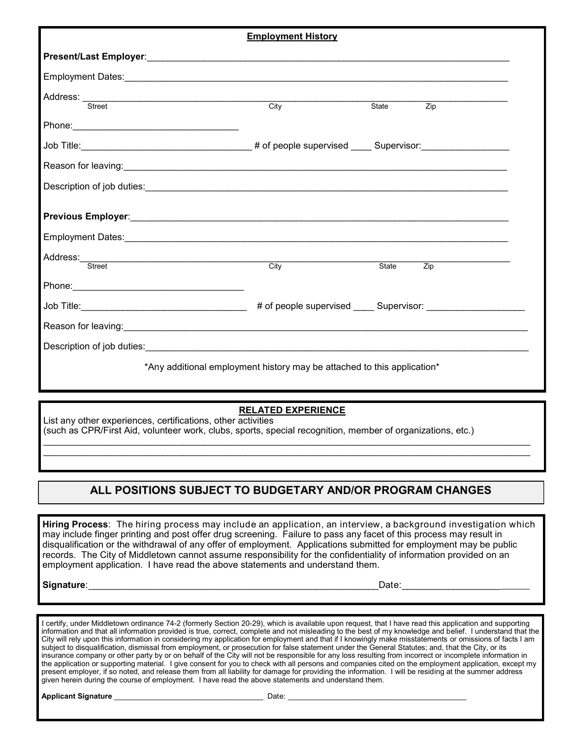|                                                                                                                | <b>Employment History</b>                                               |                     |  |
|----------------------------------------------------------------------------------------------------------------|-------------------------------------------------------------------------|---------------------|--|
|                                                                                                                |                                                                         |                     |  |
|                                                                                                                |                                                                         |                     |  |
| Address: Street                                                                                                |                                                                         |                     |  |
|                                                                                                                | City                                                                    | State<br>Zip        |  |
|                                                                                                                |                                                                         |                     |  |
|                                                                                                                |                                                                         |                     |  |
| Reason for leaving: www.assett.com/www.assett.com/www.assett.com/www.assett.com/www.assett.com/www.assett.com/ |                                                                         |                     |  |
|                                                                                                                |                                                                         |                     |  |
|                                                                                                                |                                                                         |                     |  |
|                                                                                                                |                                                                         |                     |  |
|                                                                                                                |                                                                         |                     |  |
|                                                                                                                |                                                                         |                     |  |
| Street                                                                                                         | $\overline{\text{City}}$                                                | <b>State</b><br>Zip |  |
|                                                                                                                |                                                                         |                     |  |
|                                                                                                                |                                                                         |                     |  |
|                                                                                                                |                                                                         |                     |  |
|                                                                                                                |                                                                         |                     |  |
|                                                                                                                | *Any additional employment history may be attached to this application* |                     |  |
|                                                                                                                |                                                                         |                     |  |
|                                                                                                                |                                                                         |                     |  |

#### **RELATED EXPERIENCE**

List any other experiences, certifications, other activities (such as CPR/First Aid, volunteer work, clubs, sports, special recognition, member of organizations, etc.)

## **ALL POSITIONS SUBJECT TO BUDGETARY AND/OR PROGRAM CHANGES**

 $\mathcal{L}_\mathcal{L} = \mathcal{L}_\mathcal{L} = \mathcal{L}_\mathcal{L} = \mathcal{L}_\mathcal{L} = \mathcal{L}_\mathcal{L} = \mathcal{L}_\mathcal{L} = \mathcal{L}_\mathcal{L} = \mathcal{L}_\mathcal{L} = \mathcal{L}_\mathcal{L} = \mathcal{L}_\mathcal{L} = \mathcal{L}_\mathcal{L} = \mathcal{L}_\mathcal{L} = \mathcal{L}_\mathcal{L} = \mathcal{L}_\mathcal{L} = \mathcal{L}_\mathcal{L} = \mathcal{L}_\mathcal{L} = \mathcal{L}_\mathcal{L}$ \_\_\_\_\_\_\_\_\_\_\_\_\_\_\_\_\_\_\_\_\_\_\_\_\_\_\_\_\_\_\_\_\_\_\_\_\_\_\_\_\_\_\_\_\_\_\_\_\_\_\_\_\_\_\_\_\_\_\_\_\_\_\_\_\_\_\_\_\_\_\_\_\_\_\_\_\_\_\_\_\_\_\_\_\_\_\_\_\_\_\_\_\_\_

**Hiring Process**: The hiring process may include an application, an interview, a background investigation which may include finger printing and post offer drug screening. Failure to pass any facet of this process may result in disqualification or the withdrawal of any offer of employment. Applications submitted for employment may be public records. The City of Middletown cannot assume responsibility for the confidentiality of information provided on an employment application. I have read the above statements and understand them.

**Signature**:\_\_\_\_\_\_\_\_\_\_\_\_\_\_\_\_\_\_\_\_\_\_\_\_\_\_\_\_\_\_\_\_\_\_\_\_\_\_\_\_\_\_\_\_\_\_\_\_\_\_\_\_\_\_\_\_Date:\_\_\_\_\_\_\_\_\_\_\_\_\_\_\_\_\_\_\_\_\_\_\_\_\_\_

I certify, under Middletown ordinance 74-2 (formerly Section 20-29), which is available upon request, that I have read this application and supporting information and that all information provided is true, correct, complete and not misleading to the best of my knowledge and belief. I understand that the City will rely upon this information in considering my application for employment and that if I knowingly make misstatements or omissions of facts I am subject to disqualification, dismissal from employment, or prosecution for false statement under the General Statutes; and, that the City, or its insurance company or other party by or on behalf of the City will not be responsible for any loss resulting from incorrect or incomplete information in the application or supporting material. I give consent for you to check with all persons and companies cited on the employment application, except my present employer, if so noted, and release them from all liability for damage for providing the information. I will be residing at the summer address given herein during the course of employment. I have read the above statements and understand them.

**Applicant Signature** <br> **Applicant Signature**